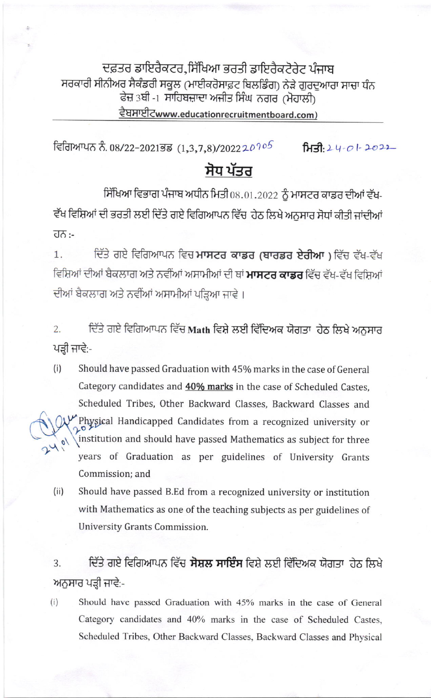ਦਫ਼ਤਰ ਡਾਇਰੈਕਟਰ,ਸਿੱਖਿਆ ਭਰਤੀ ਡਾਇਰੈਕਟੋਰੇਟ ਪੰਜਾਬ ਸਰਕਾਰੀ ਸੀਨੀਅਰ ਸੈਕੰਡਰੀ ਸਕੂਲ (ਮਾਈਕਰੋਸਾਫ਼ਟ ਬਿਲਡਿੰਗ) ਨੇੜੇ ਗੁਰਦੁਆਰਾ ਸਾਚਾ ਧੰਨ ਫੇਜ਼ 3ਬੀ -1 ਸਾਹਿਬਜ਼ਾਦਾ ਅਜੀਤ ਸਿੰਘ ਨਗਰ (ਮੋਹਾਲੀ) ਵੈਬਸਾਈਟwww.educationrecruitmentboard.com)

ਵਿਗਿਆਪਨ ਨੰ. 08/22-2021ਭਡ (1,3,7,8)/202220905  $H3.24 - 01 - 2022$ 

# ਸੋਧ ਪੱਤਰ

ਸਿੱਖਿਆ ਵਿਭਾਗ ਪੰਜਾਬ ਅਧੀਨ ਮਿਤੀ 08.01.2022 ਨੂੰ ਮਾਸਟਰ ਕਾਡਰ ਦੀਆਂ ਵੱਖ-ਵੱਖ ਵਿਸ਼ਿਆਂ ਦੀ ਭਰਤੀ ਲਈ ਦਿੱਤੇ ਗਏ ਵਿਗਿਆਪਨ ਵਿੱਚ ਹੇਠ ਲਿਖੇ ਅਨਸਾਰ ਸੋਧਾਂ ਕੀਤੀ ਜਾਂਦੀਆਂ ਹਨ :-

ਦਿੱਤੇ ਗਏ ਵਿਗਿਆਪਨ ਵਿਚ **ਮਾਸਟਰ ਕਾਡਰ (ਬਾਰਡਰ ਏਰੀਆ)** ਵਿੱਚ ਵੱਖ-ਵੱਖ  $1.$ ਵਿਸ਼ਿਆਂ ਦੀਆਂ ਬੈਕਲਾਗ ਅਤੇ ਨਵੀਂਆਂ ਅਸਾਮੀਆਂ ਦੀ ਥਾਂ **ਮਾਸਟਰ ਕਾਡਰ** ਵਿੱਚ ਵੱਖ-ਵੱਖ ਵਿਸ਼ਿਆਂ ਦੀਆਂ ਬੈਕਲਾਗ ਅਤੇ ਨਵੀਂਆਂ ਅਸਾਮੀਆਂ ਪੜ੍ਹਿਆ ਜਾਵੇ।

ਦਿੱਤੇ ਗਏ ਵਿਗਿਆਪਨ ਵਿੱਚ Math ਵਿਸ਼ੇ ਲਈ ਵਿੱਦਿਅਕ ਯੋਗਤਾ ਹੇਠ ਲਿਖੇ ਅਨੁਸਾਰ  $2^{\circ}$ ਪੜ੍ਹੀ ਜਾਵੇ:-

- $(i)$ Should have passed Graduation with 45% marks in the case of General Category candidates and 40% marks in the case of Scheduled Castes, Scheduled Tribes, Other Backward Classes, Backward Classes and Physical Handicapped Candidates from a recognized university or institution and should have passed Mathematics as subject for three years of Graduation as per guidelines of University Grants Commission; and
- $(ii)$ Should have passed B.Ed from a recognized university or institution with Mathematics as one of the teaching subjects as per guidelines of University Grants Commission.

ਦਿੱਤੇ ਗਏ ਵਿਗਿਆਪਨ ਵਿੱਚ **ਸੋਸ਼ਲ ਸਾਇੰਸ** ਵਿਸ਼ੇ ਲਈ ਵਿੱਦਿਅਕ ਯੋਗਤਾ ਹੇਠ ਲਿਖੇ 3. ਅਨੁਸਾਰ ਪੜ੍ਹੀ ਜਾਵੇ:-

Should have passed Graduation with 45% marks in the case of General  $(i)$ Category candidates and 40% marks in the case of Scheduled Castes, Scheduled Tribes, Other Backward Classes, Backward Classes and Physical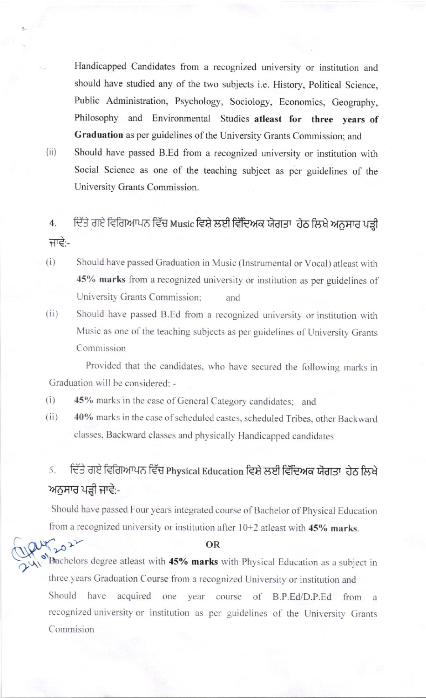Handicapped Candidates from a recognized university or institution and should have studied any of the two subjects i.e. History, Political Science, Public Administration, Psychology, Sociology, Economics, Geography, Philosophy and Environmental Studies atleast for three years of Graduation as per guidelines of the University Grants Commission; and

 $(ii)$ 

2022

Should have passed B.Ed from a recognized university or institution with Social Science as one of the teaching subject as per guidelines of the University Grants Commission.

## ਦਿੱਤੇ ਗਏ ਵਿਗਿਆਪਨ ਵਿੱਚ Music ਵਿਸ਼ੇ ਲਈ ਵਿੱਦਿਅਕ ਯੋਗਤਾ ਹੇਠ ਲਿਖੇ ਅਨੁਸਾਰ ਪੜ੍ਹੀ 4. ਜਾਵੇ:-

- Should have passed Graduation in Music (Instrumental or Vocal) atleast with  $(i)$ 45% marks from a recognized university or institution as per guidelines of University Grants Commission; and
- Should have passed B.Ed from a recognized university or institution with  $(ii)$ Music as one of the teaching subjects as per guidelines of University Grants Commission

Provided that the candidates, who have secured the following marks in Graduation will be considered: -

- $(i)$ 45% marks in the case of General Category candidates; and
- $(ii)$ 40% marks in the case of scheduled castes, scheduled Tribes, other Backward classes, Backward classes and physically Handicapped candidates

## ਦਿੱਤੇ ਗਏ ਵਿਗਿਆਪਨ ਵਿੱਚ Physical Education ਵਿਸ਼ੇ ਲਈ ਵਿੱਦਿਅਕ ਯੋਗਤਾ ਹੇਠ ਲਿਖੇ 5. ਅਨੁਸਾਰ ਪੜ੍ਹੀ ਜਾਵੇ:-

Should have passed Four years integrated course of Bachelor of Physical Education from a recognized university or institution after  $10+2$  atleast with 45% marks.

### **OR**

Bachelors degree atleast with 45% marks with Physical Education as a subject in three years Graduation Course from a recognized University or institution and Should have acquired one vear course of B.P.Ed/D.P.Ed from a recognized university or institution as per guidelines of the University Grants Commision